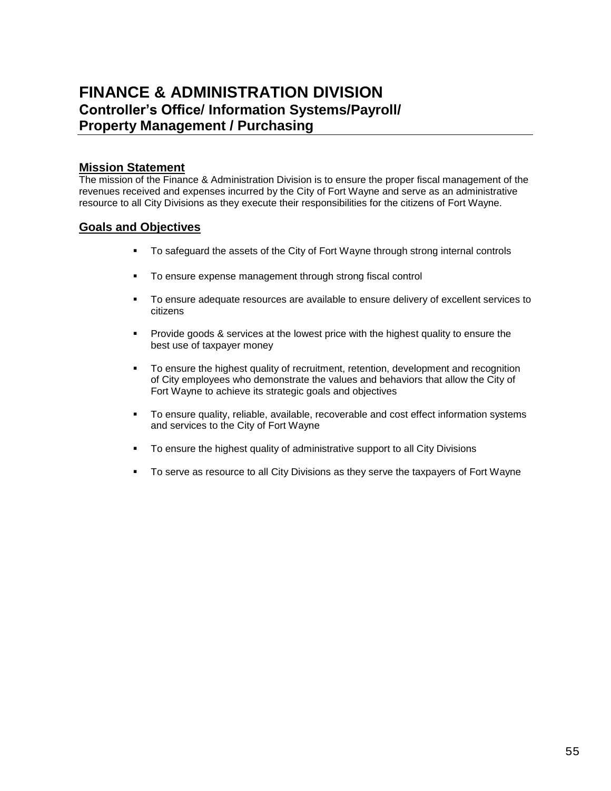# **FINANCE & ADMINISTRATION DIVISION Controller's Office/ Information Systems/Payroll/ Property Management / Purchasing**

### **Mission Statement**

The mission of the Finance & Administration Division is to ensure the proper fiscal management of the revenues received and expenses incurred by the City of Fort Wayne and serve as an administrative resource to all City Divisions as they execute their responsibilities for the citizens of Fort Wayne.

## **Goals and Objectives**

- To safeguard the assets of the City of Fort Wayne through strong internal controls
- **To ensure expense management through strong fiscal control**
- To ensure adequate resources are available to ensure delivery of excellent services to citizens
- **Provide goods & services at the lowest price with the highest quality to ensure the** best use of taxpayer money
- To ensure the highest quality of recruitment, retention, development and recognition of City employees who demonstrate the values and behaviors that allow the City of Fort Wayne to achieve its strategic goals and objectives
- To ensure quality, reliable, available, recoverable and cost effect information systems and services to the City of Fort Wayne
- **To ensure the highest quality of administrative support to all City Divisions**
- To serve as resource to all City Divisions as they serve the taxpayers of Fort Wayne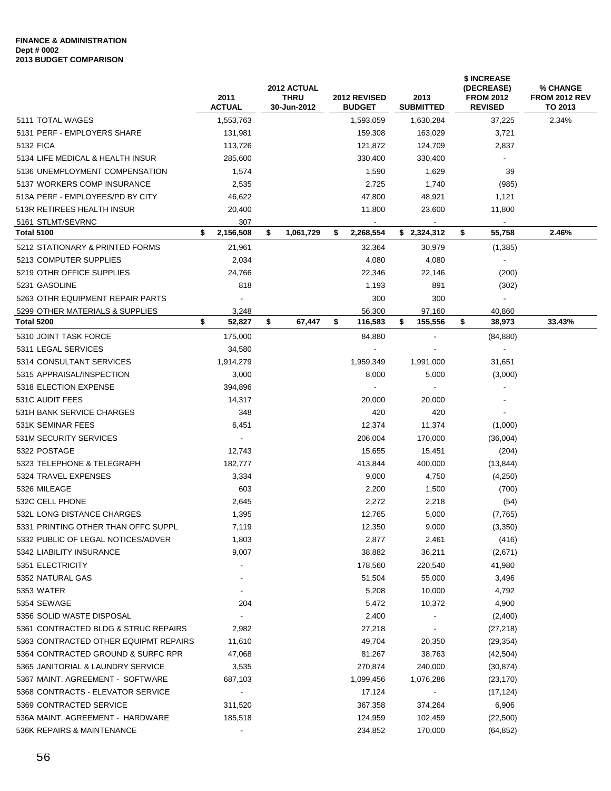### **FINANCE & ADMINISTRATION Dept # 0002 2013 BUDGET COMPARISON**

|                                       | 2011<br><b>ACTUAL</b>    | 2012 ACTUAL<br><b>THRU</b><br>30-Jun-2012 | <b>2012 REVISED</b><br><b>BUDGET</b> | 2013<br><b>SUBMITTED</b> | \$ INCREASE<br>(DECREASE)<br><b>FROM 2012</b><br><b>REVISED</b> | % CHANGE<br><b>FROM 2012 REV</b><br>TO 2013 |
|---------------------------------------|--------------------------|-------------------------------------------|--------------------------------------|--------------------------|-----------------------------------------------------------------|---------------------------------------------|
| 5111 TOTAL WAGES                      | 1,553,763                |                                           | 1,593,059                            | 1,630,284                | 37,225                                                          | 2.34%                                       |
| 5131 PERF - EMPLOYERS SHARE           | 131,981                  |                                           | 159,308                              | 163,029                  | 3,721                                                           |                                             |
| 5132 FICA                             | 113,726                  |                                           | 121,872                              | 124,709                  | 2,837                                                           |                                             |
| 5134 LIFE MEDICAL & HEALTH INSUR      | 285,600                  |                                           | 330,400                              | 330,400                  |                                                                 |                                             |
| 5136 UNEMPLOYMENT COMPENSATION        | 1,574                    |                                           | 1,590                                | 1,629                    | 39                                                              |                                             |
| 5137 WORKERS COMP INSURANCE           | 2,535                    |                                           | 2,725                                | 1,740                    | (985)                                                           |                                             |
| 513A PERF - EMPLOYEES/PD BY CITY      | 46,622                   |                                           | 47,800                               | 48,921                   | 1,121                                                           |                                             |
| 513R RETIREES HEALTH INSUR            | 20,400                   |                                           | 11,800                               | 23,600                   | 11,800                                                          |                                             |
| 5161 STLMT/SEVRNC                     | 307                      |                                           | $\blacksquare$                       |                          | $\blacksquare$                                                  |                                             |
| <b>Total 5100</b>                     | 2,156,508<br>\$          | \$<br>1,061,729                           | \$<br>2,268,554                      | \$2,324,312              | \$<br>55,758                                                    | 2.46%                                       |
| 5212 STATIONARY & PRINTED FORMS       | 21,961                   |                                           | 32,364                               | 30,979                   | (1, 385)                                                        |                                             |
| 5213 COMPUTER SUPPLIES                | 2,034                    |                                           | 4,080                                | 4,080                    |                                                                 |                                             |
| 5219 OTHR OFFICE SUPPLIES             | 24,766                   |                                           | 22.346                               | 22,146                   | (200)                                                           |                                             |
| 5231 GASOLINE                         | 818                      |                                           | 1,193                                | 891                      | (302)                                                           |                                             |
| 5263 OTHR EQUIPMENT REPAIR PARTS      | $\blacksquare$           |                                           | 300                                  | 300                      | $\blacksquare$                                                  |                                             |
| 5299 OTHER MATERIALS & SUPPLIES       | 3,248                    |                                           | 56,300                               | 97,160                   | 40,860                                                          |                                             |
| Total 5200                            | \$<br>52,827             | \$<br>67,447                              | \$<br>116,583                        | \$<br>155,556            | \$<br>38,973                                                    | 33.43%                                      |
| 5310 JOINT TASK FORCE                 | 175,000                  |                                           | 84,880                               |                          | (84, 880)                                                       |                                             |
| 5311 LEGAL SERVICES                   | 34,580                   |                                           |                                      |                          | $\blacksquare$                                                  |                                             |
| 5314 CONSULTANT SERVICES              | 1,914,279                |                                           | 1,959,349                            | 1,991,000                | 31,651                                                          |                                             |
| 5315 APPRAISAL/INSPECTION             | 3,000                    |                                           | 8,000                                | 5,000                    | (3,000)                                                         |                                             |
| 5318 ELECTION EXPENSE                 | 394,896                  |                                           |                                      |                          |                                                                 |                                             |
| 531C AUDIT FEES                       | 14,317                   |                                           | 20,000                               | 20,000                   |                                                                 |                                             |
| 531H BANK SERVICE CHARGES             | 348                      |                                           | 420                                  | 420                      |                                                                 |                                             |
| 531K SEMINAR FEES                     | 6,451                    |                                           | 12,374                               | 11,374                   | (1,000)                                                         |                                             |
| 531M SECURITY SERVICES                | $\blacksquare$           |                                           | 206,004                              | 170,000                  |                                                                 |                                             |
| 5322 POSTAGE                          | 12,743                   |                                           |                                      |                          | (36,004)                                                        |                                             |
| 5323 TELEPHONE & TELEGRAPH            |                          |                                           | 15,655                               | 15,451                   | (204)                                                           |                                             |
| 5324 TRAVEL EXPENSES                  | 182,777<br>3,334         |                                           | 413,844                              | 400,000<br>4,750         | (13, 844)                                                       |                                             |
| 5326 MILEAGE                          | 603                      |                                           | 9,000<br>2,200                       | 1,500                    | (4,250)                                                         |                                             |
| 532C CELL PHONE                       | 2,645                    |                                           | 2,272                                | 2,218                    | (700)                                                           |                                             |
| 532L LONG DISTANCE CHARGES            | 1,395                    |                                           | 12,765                               | 5,000                    | (54)<br>(7,765)                                                 |                                             |
| 5331 PRINTING OTHER THAN OFFC SUPPL   |                          |                                           |                                      | 9,000                    |                                                                 |                                             |
| 5332 PUBLIC OF LEGAL NOTICES/ADVER    | 7,119<br>1,803           |                                           | 12,350<br>2,877                      | 2,461                    | (3,350)                                                         |                                             |
| 5342 LIABILITY INSURANCE              | 9,007                    |                                           | 38,882                               |                          | (416)                                                           |                                             |
| 5351 ELECTRICITY                      |                          |                                           | 178,560                              | 36,211<br>220,540        | (2,671)<br>41,980                                               |                                             |
| 5352 NATURAL GAS                      |                          |                                           | 51,504                               | 55,000                   | 3,496                                                           |                                             |
| 5353 WATER                            | $\overline{\phantom{a}}$ |                                           | 5,208                                | 10,000                   | 4,792                                                           |                                             |
| 5354 SEWAGE                           | 204                      |                                           | 5,472                                | 10,372                   |                                                                 |                                             |
|                                       | $\overline{\phantom{a}}$ |                                           |                                      |                          | 4,900                                                           |                                             |
| 5356 SOLID WASTE DISPOSAL             |                          |                                           | 2,400                                |                          | (2,400)                                                         |                                             |
| 5361 CONTRACTED BLDG & STRUC REPAIRS  | 2,982                    |                                           | 27,218                               | $\blacksquare$           | (27, 218)                                                       |                                             |
| 5363 CONTRACTED OTHER EQUIPMT REPAIRS | 11,610                   |                                           | 49,704                               | 20,350                   | (29, 354)                                                       |                                             |
| 5364 CONTRACTED GROUND & SURFC RPR    | 47,068                   |                                           | 81,267                               | 38,763                   | (42, 504)                                                       |                                             |
| 5365 JANITORIAL & LAUNDRY SERVICE     | 3,535                    |                                           | 270,874                              | 240,000                  | (30, 874)                                                       |                                             |
| 5367 MAINT. AGREEMENT - SOFTWARE      | 687,103                  |                                           | 1,099,456                            | 1,076,286                | (23, 170)                                                       |                                             |
| 5368 CONTRACTS - ELEVATOR SERVICE     | $\blacksquare$           |                                           | 17,124                               |                          | (17, 124)                                                       |                                             |
| 5369 CONTRACTED SERVICE               | 311,520                  |                                           | 367,358                              | 374,264                  | 6,906                                                           |                                             |
| 536A MAINT. AGREEMENT - HARDWARE      | 185,518                  |                                           | 124,959                              | 102,459                  | (22, 500)                                                       |                                             |
| 536K REPAIRS & MAINTENANCE            |                          |                                           | 234,852                              | 170,000                  | (64, 852)                                                       |                                             |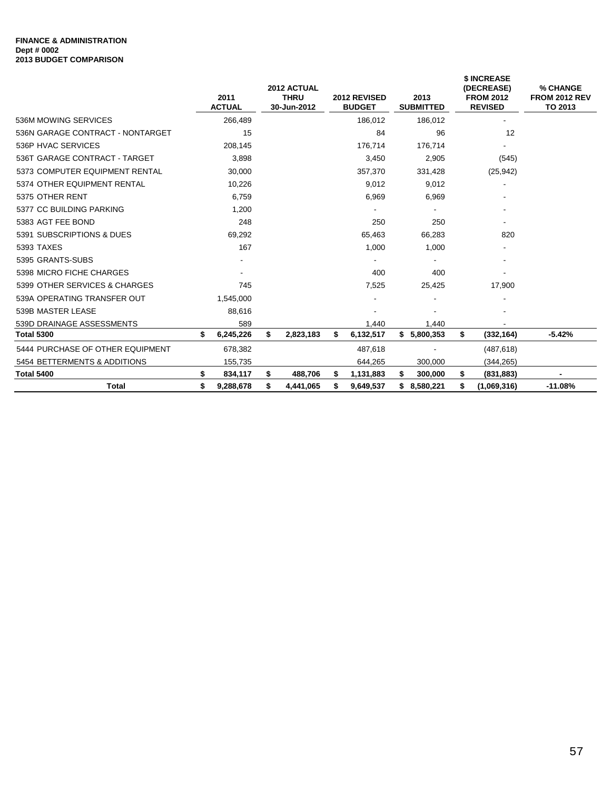### **FINANCE & ADMINISTRATION Dept # 0002 2013 BUDGET COMPARISON**

|                                  | 2011<br><b>ACTUAL</b> |    | 2012 ACTUAL<br><b>THRU</b><br>30-Jun-2012 |    | 2012 REVISED<br><b>BUDGET</b> |    | 2013<br><b>SUBMITTED</b> |           | <b>\$ INCREASE</b><br>(DECREASE)<br><b>FROM 2012</b><br><b>REVISED</b> | % CHANGE<br><b>FROM 2012 REV</b><br>TO 2013 |  |
|----------------------------------|-----------------------|----|-------------------------------------------|----|-------------------------------|----|--------------------------|-----------|------------------------------------------------------------------------|---------------------------------------------|--|
| 536M MOWING SERVICES             | 266,489               |    |                                           |    | 186,012                       |    | 186,012                  |           |                                                                        |                                             |  |
| 536N GARAGE CONTRACT - NONTARGET | 15                    |    |                                           |    | 84                            |    | 96                       |           | 12                                                                     |                                             |  |
| 536P HVAC SERVICES               | 208,145               |    |                                           |    | 176,714                       |    | 176,714                  |           |                                                                        |                                             |  |
| 536T GARAGE CONTRACT - TARGET    | 3,898                 |    |                                           |    | 3,450                         |    | 2,905                    | (545)     |                                                                        |                                             |  |
| 5373 COMPUTER EQUIPMENT RENTAL   | 30,000                |    |                                           |    | 357,370                       |    | 331,428                  | (25, 942) |                                                                        |                                             |  |
| 5374 OTHER EQUIPMENT RENTAL      | 10,226                |    |                                           |    | 9,012                         |    | 9,012                    |           |                                                                        |                                             |  |
| 5375 OTHER RENT                  | 6,759                 |    |                                           |    | 6,969                         |    | 6,969                    |           |                                                                        |                                             |  |
| 5377 CC BUILDING PARKING         | 1,200                 |    |                                           |    | ٠                             |    |                          |           |                                                                        |                                             |  |
| 5383 AGT FEE BOND                | 248                   |    |                                           |    | 250                           |    | 250                      |           |                                                                        |                                             |  |
| 5391 SUBSCRIPTIONS & DUES        | 69,292                |    |                                           |    | 65,463                        |    | 66,283                   | 820       |                                                                        |                                             |  |
| 5393 TAXES                       | 167                   |    |                                           |    | 1,000                         |    | 1,000                    |           |                                                                        |                                             |  |
| 5395 GRANTS-SUBS                 | ٠                     |    |                                           |    | $\overline{\phantom{a}}$      |    |                          |           | ٠                                                                      |                                             |  |
| 5398 MICRO FICHE CHARGES         |                       |    |                                           |    | 400                           |    | 400                      |           |                                                                        |                                             |  |
| 5399 OTHER SERVICES & CHARGES    | 745                   |    |                                           |    | 7,525                         |    | 25,425                   |           | 17,900                                                                 |                                             |  |
| 539A OPERATING TRANSFER OUT      | 1,545,000             |    |                                           |    |                               |    |                          |           |                                                                        |                                             |  |
| 539B MASTER LEASE                | 88,616                |    |                                           |    |                               |    |                          |           |                                                                        |                                             |  |
| 539D DRAINAGE ASSESSMENTS        | 589                   |    |                                           |    | 1,440                         |    | 1,440                    |           |                                                                        |                                             |  |
| <b>Total 5300</b>                | \$<br>6,245,226       | \$ | 2,823,183                                 | \$ | 6,132,517                     |    | \$5,800,353              | \$        | (332,164)                                                              | $-5.42%$                                    |  |
| 5444 PURCHASE OF OTHER EQUIPMENT | 678,382               |    |                                           |    | 487,618                       |    |                          |           | (487, 618)                                                             |                                             |  |
| 5454 BETTERMENTS & ADDITIONS     | 155,735               |    |                                           |    | 644,265                       |    | 300,000                  |           | (344, 265)                                                             |                                             |  |
| <b>Total 5400</b>                | \$<br>834,117         | S  | 488,706                                   | S  | 1,131,883                     | S  | 300,000                  | \$        | (831, 883)                                                             |                                             |  |
| <b>Total</b>                     | \$<br>9,288,678       | \$ | 4,441,065                                 | \$ | 9,649,537                     | \$ | 8,580,221                | \$        | (1,069,316)                                                            | $-11.08%$                                   |  |